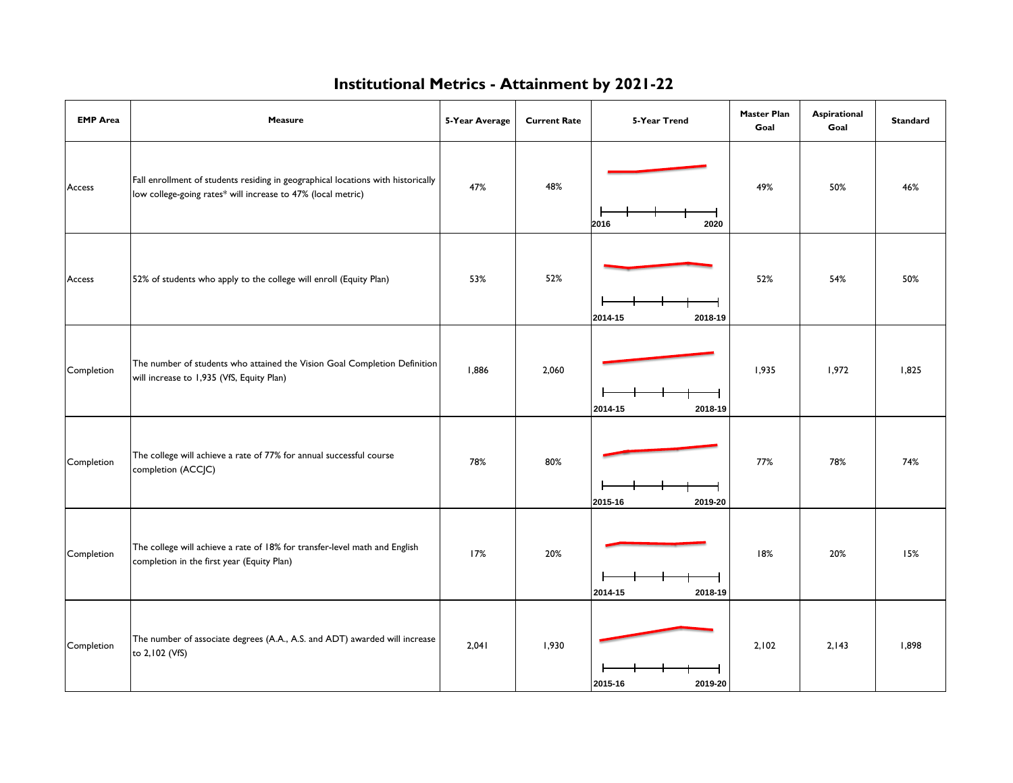## **Master Plan Aspirational Standard EMP Area Measure 5-Year Average Current Rate 5-Year Trend Goal Goal**  Fall enrollment of students residing in geographical locations with historically Access 47% 48% 49% 50% 46% low college-going rates\* will increase to 47% (local metric) **2016 2020** Access 52% of students who apply to the college will enroll (Equity Plan) 53% 52% 52% 52% 54% 52% 54% 50% 52% **2014-15 2018-19**The number of students who attained the Vision Goal Completion Definition Completion 1,886 2,060 1,935 1,972 1,825 will increase to 1,935 (VfS, Equity Plan) Ł **2014-15 2018-19** The college will achieve a rate of 77% for annual successful course Completion 78% 80% 77% 78% 74% completion (ACCJC) **2015-16 2019-20** The college will achieve a rate of 18% for transfer-level math and English **Completion** 17% 20% 18% 20% 15% completion in the first year (Equity Plan) **2014-15 2018-19** The number of associate degrees (A.A., A.S. and ADT) awarded will increase Completion 2,041 1,930 2,102 2,143 1,898 to 2,102 (VfS)

**2015-16 2019-20**

## **Institutional Metrics - Attainment by 2021-22**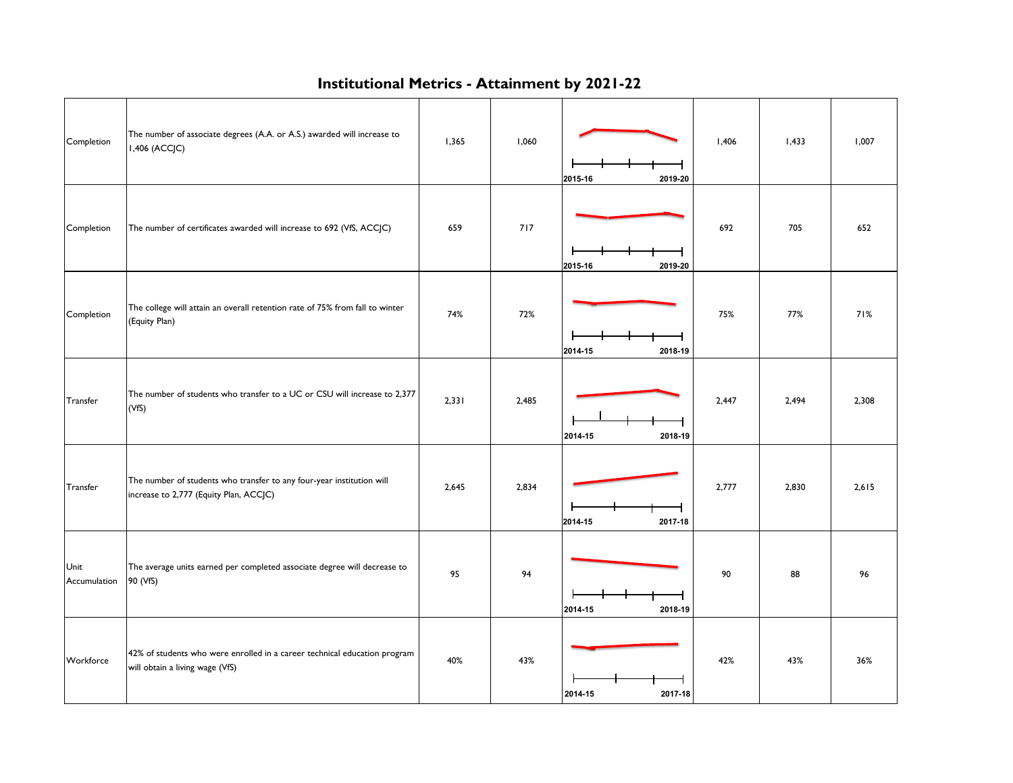## **Institutional Metrics - Attainment by 2021-22**

| Completion           | The number of associate degrees (A.A. or A.S.) awarded will increase to<br>1,406 (ACCJC)                        | 1,365 | 1,060 | 2015-16<br>2019-20 | 1,406 | 1,433 | 1,007 |
|----------------------|-----------------------------------------------------------------------------------------------------------------|-------|-------|--------------------|-------|-------|-------|
| Completion           | The number of certificates awarded will increase to 692 (VfS, ACCJC)                                            | 659   | 717   | 2015-16<br>2019-20 | 692   | 705   | 652   |
| Completion           | The college will attain an overall retention rate of 75% from fall to winter<br>(Equity Plan)                   | 74%   | 72%   | 2014-15<br>2018-19 | 75%   | 77%   | 71%   |
| Transfer             | The number of students who transfer to a UC or CSU will increase to 2,377<br>(VfS)                              | 2,331 | 2,485 | 2014-15<br>2018-19 | 2,447 | 2,494 | 2,308 |
| Transfer             | The number of students who transfer to any four-year institution will<br>increase to 2,777 (Equity Plan, ACCJC) | 2,645 | 2,834 | 2014-15<br>2017-18 | 2,777 | 2,830 | 2,615 |
| Unit<br>Accumulation | The average units earned per completed associate degree will decrease to<br>90 (VfS)                            | 95    | 94    | 2018-19<br>2014-15 | 90    | 88    | 96    |
| Workforce            | 42% of students who were enrolled in a career technical education program<br>will obtain a living wage (VfS)    | 40%   | 43%   | 2014-15<br>2017-18 | 42%   | 43%   | 36%   |